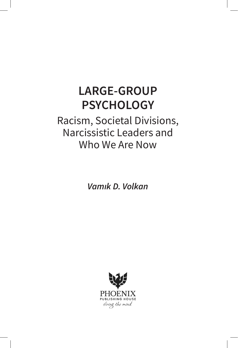# **LARGE-GROUP PSYCHOLOGY**

# Racism, Societal Divisions, Narcissistic Leaders and Who We Are Now

*Vamık D. Volkan*

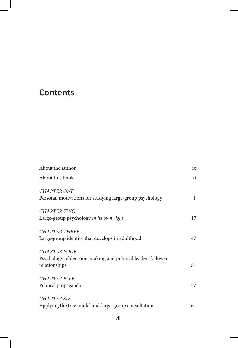## **Contents**

| About the author                                                                                    | ix           |
|-----------------------------------------------------------------------------------------------------|--------------|
| About this book                                                                                     | хi           |
| <b>CHAPTER ONE</b><br>Personal motivations for studying large-group psychology                      | $\mathbf{1}$ |
| <b>CHAPTER TWO</b><br>Large-group psychology in its own right                                       | 17           |
| <b>CHAPTER THREE</b><br>Large-group identity that develops in adulthood                             | 47           |
| <b>CHAPTER FOUR</b><br>Psychology of decision-making and political leader-follower<br>relationships | 51           |
| <b>CHAPTER FIVE</b><br>Political propaganda                                                         | 57           |
| <b>CHAPTER SIX</b><br>Applying the tree model and large-group consultations                         | 61           |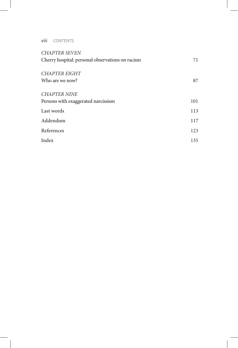viii CONTENTS

I

| <b>CHAPTER SEVEN</b>                             |     |
|--------------------------------------------------|-----|
| Cherry hospital: personal observations on racism | 71  |
| CHAPTER EIGHT                                    |     |
|                                                  |     |
| Who are we now?                                  | 87  |
|                                                  |     |
| <b>CHAPTER NINE</b>                              |     |
| Persons with exaggerated narcissism              | 101 |
|                                                  |     |
| Last words                                       | 113 |
| Addendum                                         | 117 |
| References                                       | 123 |
|                                                  |     |
| Index                                            | 135 |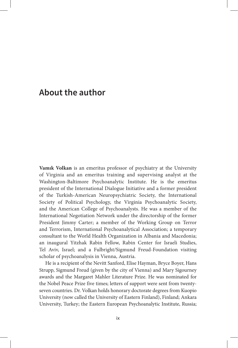### **About the author**

**Vamık Volkan** is an emeritus professor of psychiatry at the University of Virginia and an emeritus training and supervising analyst at the Washington-Baltimore Psychoanalytic Institute. He is the emeritus president of the International Dialogue Initiative and a former president of the Turkish-American Neuropsychiatric Society, the International Society of Political Psychology, the Virginia Psychoanalytic Society, and the American College of Psychoanalysts. He was a member of the International Negotiation Network under the directorship of the former President Jimmy Carter; a member of the Working Group on Terror and Terrorism, International Psychoanalytical Association; a temporary consultant to the World Health Organization in Albania and Macedonia; an inaugural Yitzhak Rabin Fellow, Rabin Center for Israeli Studies, Tel Aviv, Israel; and a Fulbright/Sigmund Freud-Foundation visiting scholar of psychoanalysis in Vienna, Austria.

He is a recipient of the Nevitt Sanford, Elise Hayman, Bryce Boyer, Hans Strupp, Sigmund Freud (given by the city of Vienna) and Mary Sigourney awards and the Margaret Mahler Literature Prize. He was nominated for the Nobel Peace Prize five times; letters of support were sent from twentyseven countries. Dr. Volkan holds honorary doctorate degrees from Kuopio University (now called the University of Eastern Finland), Finland; Ankara University, Turkey; the Eastern European Psychoanalytic Institute, Russia;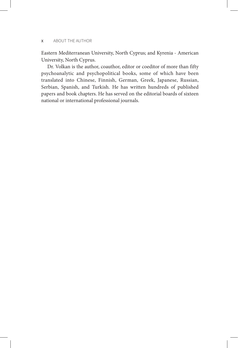#### x ABOUT THE AUTHOR

Eastern Mediterranean University, North Cyprus; and Kyrenia - American University, North Cyprus.

Dr. Volkan is the author, coauthor, editor or coeditor of more than fifty psychoanalytic and psychopolitical books, some of which have been translated into Chinese, Finnish, German, Greek, Japanese, Russian, Serbian, Spanish, and Turkish. He has written hundreds of published papers and book chapters. He has served on the editorial boards of sixteen national or international professional journals.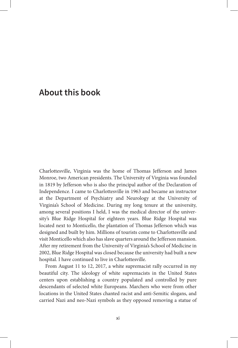### **About this book**

Charlottesville, Virginia was the home of Thomas Jefferson and James Monroe, two American presidents. The University of Virginia was founded in 1819 by Jefferson who is also the principal author of the Declaration of Independence. I came to Charlottesville in 1963 and became an instructor at the Department of Psychiatry and Neurology at the University of Virginia's School of Medicine. During my long tenure at the university, among several positions I held, I was the medical director of the university's Blue Ridge Hospital for eighteen years. Blue Ridge Hospital was located next to Monticello, the plantation of Thomas Jefferson which was designed and built by him. Millions of tourists come to Charlottesville and visit Monticello which also has slave quarters around the Jefferson mansion. After my retirement from the University of Virginia's School of Medicine in 2002, Blue Ridge Hospital was closed because the university had built a new hospital. I have continued to live in Charlottesville.

From August 11 to 12, 2017, a white supremacist rally occurred in my beautiful city. The ideology of white supremacists in the United States centers upon establishing a country populated and controlled by pure descendants of selected white Europeans. Marchers who were from other locations in the United States chanted racist and anti-Semitic slogans, and carried Nazi and neo-Nazi symbols as they opposed removing a statue of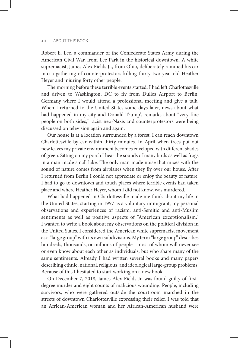#### xii ABOUT THIS BOOK

Robert E. Lee, a commander of the Confederate States Army during the American Civil War, from Lee Park in the historical downtown. A white supremacist, James Alex Fields Jr., from Ohio, deliberately rammed his car into a gathering of counterprotestors killing thirty-two-year-old Heather Heyer and injuring forty other people.

The morning before these terrible events started, I had left Charlottesville and driven to Washington, DC to fly from Dulles Airport to Berlin, Germany where I would attend a professional meeting and give a talk. When I returned to the United States some days later, news about what had happened in my city and Donald Trump's remarks about "very fine people on both sides," racist neo-Nazis and counterprotestors were being discussed on television again and again.

Our house is at a location surrounded by a forest. I can reach downtown Charlottesville by car within thirty minutes. In April when trees put out new leaves my private environment becomes enveloped with different shades of green. Sitting on my porch I hear the sounds of many birds as well as frogs in a man-made small lake. The only man-made noise that mixes with the sound of nature comes from airplanes when they fly over our house. After I returned from Berlin I could not appreciate or enjoy the beauty of nature. I had to go to downtown and touch places where terrible events had taken place and where Heather Heyer, whom I did not know, was murdered.

What had happened in Charlottesville made me think about my life in the United States, starting in 1957 as a voluntary immigrant, my personal observations and experiences of racism, anti-Semitic and anti-Muslim sentiments as well as positive aspects of "American exceptionalism." I wanted to write a book about my observations on the political division in the United States. I considered the American white supremacist movement as a "large group" with its own subdivisions. My term "large group" describes hundreds, thousands, or millions of people—most of whom will never see or even know about each other as individuals, but who share many of the same sentiments. Already I had written several books and many papers describing ethnic, national, religious, and ideological large-group problems. Because of this I hesitated to start working on a new book.

On December 7, 2018, James Alex Fields Jr. was found guilty of firstdegree murder and eight counts of malicious wounding. People, including survivors, who were gathered outside the courtroom marched in the streets of downtown Charlottesville expressing their relief. I was told that an African-American woman and her African-American husband were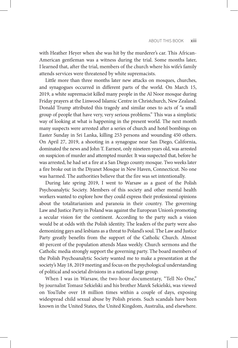with Heather Heyer when she was hit by the murderer's car. This African-American gentleman was a witness during the trial. Some months later, I learned that, after the trial, members of the church where his wife's family attends services were threatened by white supremacists.

Little more than three months later new attacks on mosques, churches, and synagogues occurred in different parts of the world. On March 15, 2019, a white supremacist killed many people in the Al Noor mosque during Friday prayers at the Linwood Islamic Centre in Christchurch, New Zealand. Donald Trump attributed this tragedy and similar ones to acts of "a small group of people that have very, very serious problems." This was a simplistic way of looking at what is happening in the present world. The next month many suspects were arrested after a series of church and hotel bombings on Easter Sunday in Sri Lanka, killing 253 persons and wounding 450 others. On April 27, 2019, a shooting in a synagogue near San Diego, California, dominated the news and John T. Earnest, only nineteen years old, was arrested on suspicion of murder and attempted murder. It was suspected that, before he was arrested, he had set a fire at a San Diego county mosque. Two weeks later a fire broke out in the Diyanet Mosque in New Haven, Connecticut. No one was harmed. The authorities believe that the fire was set intentionally.

During late spring 2019, I went to Warsaw as a guest of the Polish Psychoanalytic Society. Members of this society and other mental health workers wanted to explore how they could express their professional opinions about the totalitarianism and paranoia in their country. The governing Law and Justice Party in Poland was against the European Union's promoting a secular vision for the continent. According to the party such a vision would be at odds with the Polish identity. The leaders of the party were also demonizing gays and lesbians as a threat to Poland's soul. The Law and Justice Party greatly benefits from the support of the Catholic Church. Almost 40 percent of the population attends Mass weekly. Church sermons and the Catholic media strongly support the governing party. The board members of the Polish Psychoanalytic Society wanted me to make a presentation at the society's May 18, 2019 meeting and focus on the psychological understanding of political and societal divisions in a national large group.

When I was in Warsaw, the two-hour documentary, "Tell No One," by journalist Tomasz Sekielski and his brother Marek Sekielski, was viewed on YouTube over 18 million times within a couple of days, exposing widespread child sexual abuse by Polish priests. Such scandals have been known in the United States, the United Kingdom, Australia, and elsewhere.